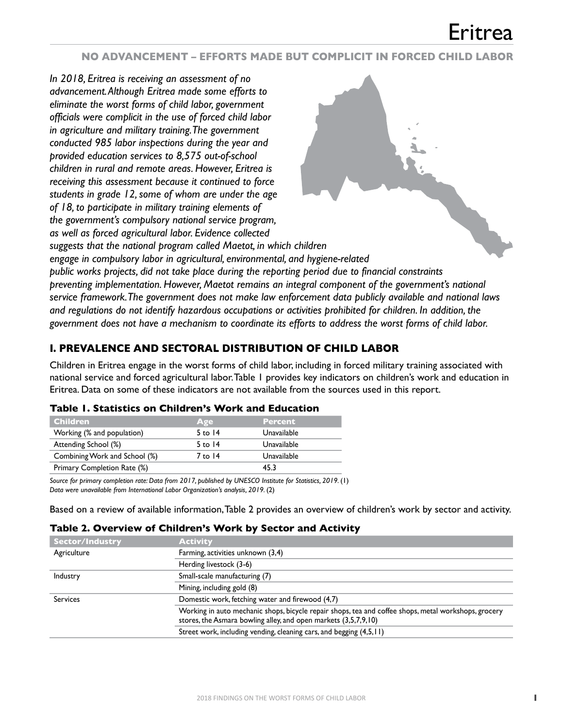### **NO ADVANCEMENT – EFFORTS MADE BUT COMPLICIT IN FORCED CHILD LABOR**

*In 2018, Eritrea is receiving an assessment of no advancement. Although Eritrea made some efforts to eliminate the worst forms of child labor, government officials were complicit in the use of forced child labor in agriculture and military training. The government conducted 985 labor inspections during the year and provided education services to 8,575 out-of-school children in rural and remote areas. However, Eritrea is receiving this assessment because it continued to force students in grade 12, some of whom are under the age of 18, to participate in military training elements of the government's compulsory national service program, as well as forced agricultural labor. Evidence collected* 



*suggests that the national program called Maetot, in which children engage in compulsory labor in agricultural, environmental, and hygiene-related* 

*public works projects, did not take place during the reporting period due to financial constraints preventing implementation. However, Maetot remains an integral component of the government's national service framework. The government does not make law enforcement data publicly available and national laws and regulations do not identify hazardous occupations or activities prohibited for children. In addition, the government does not have a mechanism to coordinate its efforts to address the worst forms of child labor.*

## **I. PREVALENCE AND SECTORAL DISTRIBUTION OF CHILD LABOR**

Children in Eritrea engage in the worst forms of child labor, including in forced military training associated with national service and forced agricultural labor. Table 1 provides key indicators on children's work and education in Eritrea. Data on some of these indicators are not available from the sources used in this report.

| Children.                     | Age       | <b>Percent</b> |  |
|-------------------------------|-----------|----------------|--|
| Working (% and population)    | $5$ to 14 | Unavailable    |  |
| Attending School (%)          | $5$ to 14 | Unavailable    |  |
| Combining Work and School (%) | 7 to 14   | Unavailable    |  |
| Primary Completion Rate (%)   |           | 45.3           |  |

#### **Table 1. Statistics on Children's Work and Education**

*Source for primary completion rate: Data from 2017, published by UNESCO Institute for Statistics, 2019.* (1) *Data were unavailable from International Labor Organization's analysis, 2019.* (2)

Based on a review of available information, Table 2 provides an overview of children's work by sector and activity.

#### **Table 2. Overview of Children's Work by Sector and Activity**

| <b>Sector/Industry</b> | <b>Activity</b>                                                                                                                                                         |
|------------------------|-------------------------------------------------------------------------------------------------------------------------------------------------------------------------|
| Agriculture            | Farming, activities unknown (3,4)                                                                                                                                       |
|                        | Herding livestock (3-6)                                                                                                                                                 |
| Industry               | Small-scale manufacturing (7)                                                                                                                                           |
|                        | Mining, including gold (8)                                                                                                                                              |
| <b>Services</b>        | Domestic work, fetching water and firewood (4,7)                                                                                                                        |
|                        | Working in auto mechanic shops, bicycle repair shops, tea and coffee shops, metal workshops, grocery<br>stores, the Asmara bowling alley, and open markets (3,5,7,9,10) |
|                        | Street work, including vending, cleaning cars, and begging (4,5,11)                                                                                                     |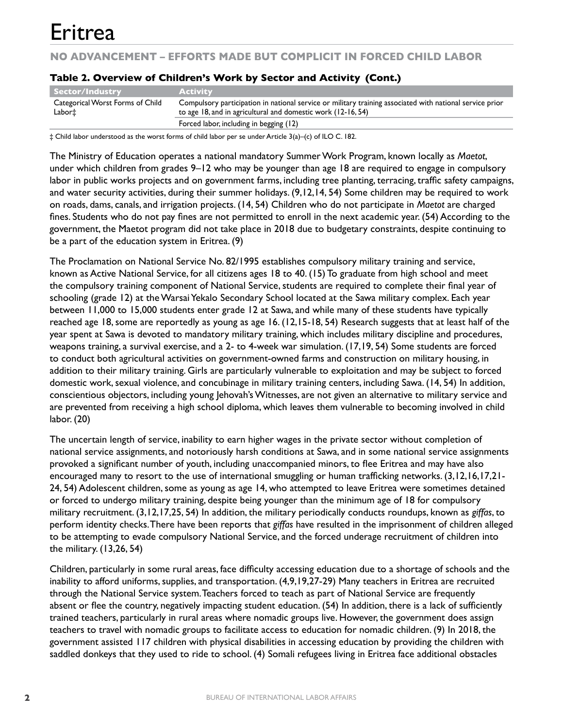**NO ADVANCEMENT – EFFORTS MADE BUT COMPLICIT IN FORCED CHILD LABOR**

| Sector/Industry                            | <b>Activity</b>                                                                                                                                                          |
|--------------------------------------------|--------------------------------------------------------------------------------------------------------------------------------------------------------------------------|
| Categorical Worst Forms of Child<br>Labor‡ | Compulsory participation in national service or military training associated with national service prior<br>to age 18, and in agricultural and domestic work (12-16, 54) |
|                                            | Forced labor, including in begging (12)                                                                                                                                  |

#### **Table 2. Overview of Children's Work by Sector and Activity (Cont.)**

‡ Child labor understood as the worst forms of child labor per se under Article 3(a)–(c) of ILO C. 182.

The Ministry of Education operates a national mandatory Summer Work Program, known locally as *Maetot*, under which children from grades 9–12 who may be younger than age 18 are required to engage in compulsory labor in public works projects and on government farms, including tree planting, terracing, traffic safety campaigns, and water security activities, during their summer holidays. (9,12,14, 54) Some children may be required to work on roads, dams, canals, and irrigation projects. (14, 54) Children who do not participate in *Maetot* are charged fines. Students who do not pay fines are not permitted to enroll in the next academic year. (54) According to the government, the Maetot program did not take place in 2018 due to budgetary constraints, despite continuing to be a part of the education system in Eritrea. (9)

The Proclamation on National Service No. 82/1995 establishes compulsory military training and service, known as Active National Service, for all citizens ages 18 to 40. (15) To graduate from high school and meet the compulsory training component of National Service, students are required to complete their final year of schooling (grade 12) at the Warsai Yekalo Secondary School located at the Sawa military complex. Each year between 11,000 to 15,000 students enter grade 12 at Sawa, and while many of these students have typically reached age 18, some are reportedly as young as age 16. (12,15-18, 54) Research suggests that at least half of the year spent at Sawa is devoted to mandatory military training, which includes military discipline and procedures, weapons training, a survival exercise, and a 2- to 4-week war simulation. (17,19, 54) Some students are forced to conduct both agricultural activities on government-owned farms and construction on military housing, in addition to their military training. Girls are particularly vulnerable to exploitation and may be subject to forced domestic work, sexual violence, and concubinage in military training centers, including Sawa. (14, 54) In addition, conscientious objectors, including young Jehovah's Witnesses, are not given an alternative to military service and are prevented from receiving a high school diploma, which leaves them vulnerable to becoming involved in child labor. (20)

The uncertain length of service, inability to earn higher wages in the private sector without completion of national service assignments, and notoriously harsh conditions at Sawa, and in some national service assignments provoked a significant number of youth, including unaccompanied minors, to flee Eritrea and may have also encouraged many to resort to the use of international smuggling or human trafficking networks. (3,12,16,17,21- 24, 54) Adolescent children, some as young as age 14, who attempted to leave Eritrea were sometimes detained or forced to undergo military training, despite being younger than the minimum age of 18 for compulsory military recruitment. (3,12,17,25, 54) In addition, the military periodically conducts roundups, known as *giffas*, to perform identity checks. There have been reports that *giffas* have resulted in the imprisonment of children alleged to be attempting to evade compulsory National Service, and the forced underage recruitment of children into the military. (13,26, 54)

Children, particularly in some rural areas, face difficulty accessing education due to a shortage of schools and the inability to afford uniforms, supplies, and transportation. (4,9,19,27-29) Many teachers in Eritrea are recruited through the National Service system. Teachers forced to teach as part of National Service are frequently absent or flee the country, negatively impacting student education. (54) In addition, there is a lack of sufficiently trained teachers, particularly in rural areas where nomadic groups live. However, the government does assign teachers to travel with nomadic groups to facilitate access to education for nomadic children. (9) In 2018, the government assisted 117 children with physical disabilities in accessing education by providing the children with saddled donkeys that they used to ride to school. (4) Somali refugees living in Eritrea face additional obstacles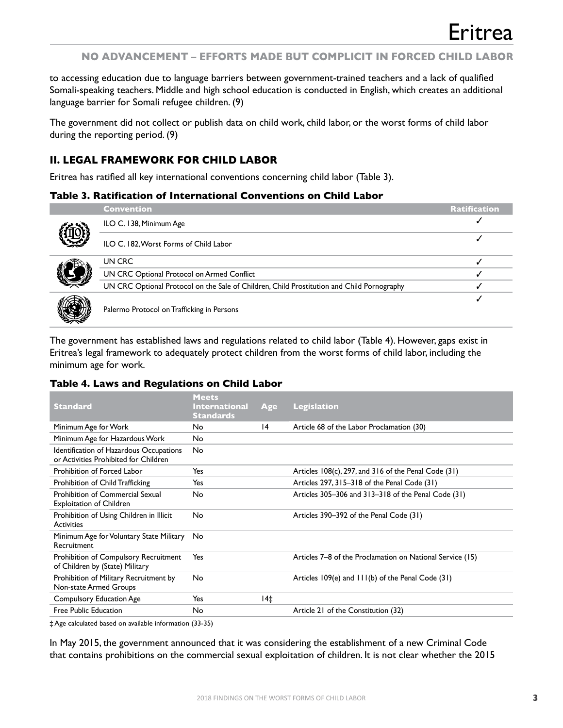### **NO ADVANCEMENT – EFFORTS MADE BUT COMPLICIT IN FORCED CHILD LABOR**

to accessing education due to language barriers between government-trained teachers and a lack of qualified Somali-speaking teachers. Middle and high school education is conducted in English, which creates an additional language barrier for Somali refugee children. (9)

The government did not collect or publish data on child work, child labor, or the worst forms of child labor during the reporting period. (9)

## **II. LEGAL FRAMEWORK FOR CHILD LABOR**

Eritrea has ratified all key international conventions concerning child labor (Table 3).

#### **Table 3. Ratification of International Conventions on Child Labor**



|              | <b>Convention</b>                                                                          | <b>Ratification</b> |
|--------------|--------------------------------------------------------------------------------------------|---------------------|
|              | ILO C. 138, Minimum Age                                                                    |                     |
| i)<br>V      | ILO C. 182, Worst Forms of Child Labor                                                     |                     |
|              | UN CRC                                                                                     |                     |
| J            | UN CRC Optional Protocol on Armed Conflict                                                 |                     |
|              | UN CRC Optional Protocol on the Sale of Children, Child Prostitution and Child Pornography |                     |
|              |                                                                                            |                     |
| $\mathbb{N}$ | Palermo Protocol on Trafficking in Persons                                                 |                     |

The government has established laws and regulations related to child labor (Table 4). However, gaps exist in Eritrea's legal framework to adequately protect children from the worst forms of child labor, including the minimum age for work.

#### **Table 4. Laws and Regulations on Child Labor**

| <b>Standard</b>                                                                  | <b>Meets</b><br><b>International</b><br><b>Standards</b> | Age | <b>Legislation</b>                                        |
|----------------------------------------------------------------------------------|----------------------------------------------------------|-----|-----------------------------------------------------------|
| Minimum Age for Work                                                             | No                                                       | 4   | Article 68 of the Labor Proclamation (30)                 |
| Minimum Age for Hazardous Work                                                   | <b>No</b>                                                |     |                                                           |
| Identification of Hazardous Occupations<br>or Activities Prohibited for Children | No                                                       |     |                                                           |
| Prohibition of Forced Labor                                                      | Yes                                                      |     | Articles 108(c), 297, and 316 of the Penal Code (31)      |
| Prohibition of Child Trafficking                                                 | Yes                                                      |     | Articles 297, 315–318 of the Penal Code (31)              |
| Prohibition of Commercial Sexual<br><b>Exploitation of Children</b>              | <b>No</b>                                                |     | Articles 305-306 and 313-318 of the Penal Code (31)       |
| Prohibition of Using Children in Illicit<br><b>Activities</b>                    | <b>No</b>                                                |     | Articles 390–392 of the Penal Code (31)                   |
| Minimum Age for Voluntary State Military<br>Recruitment                          | No                                                       |     |                                                           |
| Prohibition of Compulsory Recruitment<br>of Children by (State) Military         | Yes                                                      |     | Articles 7–8 of the Proclamation on National Service (15) |
| Prohibition of Military Recruitment by<br>Non-state Armed Groups                 | No                                                       |     | Articles 109(e) and 111(b) of the Penal Code (31)         |
| <b>Compulsory Education Age</b>                                                  | Yes                                                      | 14‡ |                                                           |
| Free Public Education                                                            | No                                                       |     | Article 21 of the Constitution (32)                       |

‡ Age calculated based on available information (33-35)

In May 2015, the government announced that it was considering the establishment of a new Criminal Code that contains prohibitions on the commercial sexual exploitation of children. It is not clear whether the 2015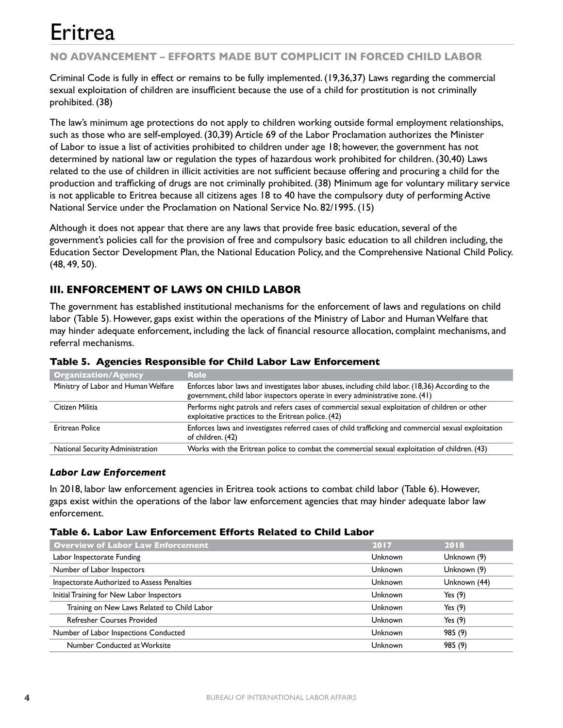## **NO ADVANCEMENT – EFFORTS MADE BUT COMPLICIT IN FORCED CHILD LABOR**

Criminal Code is fully in effect or remains to be fully implemented. (19,36,37) Laws regarding the commercial sexual exploitation of children are insufficient because the use of a child for prostitution is not criminally prohibited. (38)

The law's minimum age protections do not apply to children working outside formal employment relationships, such as those who are self-employed. (30,39) Article 69 of the Labor Proclamation authorizes the Minister of Labor to issue a list of activities prohibited to children under age 18; however, the government has not determined by national law or regulation the types of hazardous work prohibited for children. (30,40) Laws related to the use of children in illicit activities are not sufficient because offering and procuring a child for the production and trafficking of drugs are not criminally prohibited. (38) Minimum age for voluntary military service is not applicable to Eritrea because all citizens ages 18 to 40 have the compulsory duty of performing Active National Service under the Proclamation on National Service No. 82/1995. (15)

Although it does not appear that there are any laws that provide free basic education, several of the government's policies call for the provision of free and compulsory basic education to all children including, the Education Sector Development Plan, the National Education Policy, and the Comprehensive National Child Policy. (48, 49, 50).

## **III. ENFORCEMENT OF LAWS ON CHILD LABOR**

The government has established institutional mechanisms for the enforcement of laws and regulations on child labor (Table 5). However, gaps exist within the operations of the Ministry of Labor and Human Welfare that may hinder adequate enforcement, including the lack of financial resource allocation, complaint mechanisms, and referral mechanisms.

| <b>Organization/Agency</b>          | <b>Role</b>                                                                                                                                                                         |
|-------------------------------------|-------------------------------------------------------------------------------------------------------------------------------------------------------------------------------------|
| Ministry of Labor and Human Welfare | Enforces labor laws and investigates labor abuses, including child labor. (18,36) According to the<br>government, child labor inspectors operate in every administrative zone. (41) |
| Citizen Militia                     | Performs night patrols and refers cases of commercial sexual exploitation of children or other<br>exploitative practices to the Eritrean police. (42)                               |
| <b>Eritrean Police</b>              | Enforces laws and investigates referred cases of child trafficking and commercial sexual exploitation<br>of children. (42)                                                          |
| National Security Administration    | Works with the Eritrean police to combat the commercial sexual exploitation of children. (43)                                                                                       |

#### **Table 5. Agencies Responsible for Child Labor Law Enforcement**

### *Labor Law Enforcement*

In 2018, labor law enforcement agencies in Eritrea took actions to combat child labor (Table 6). However, gaps exist within the operations of the labor law enforcement agencies that may hinder adequate labor law enforcement.

#### **Table 6. Labor Law Enforcement Efforts Related to Child Labor**

| <b>Overview of Labor Law Enforcement</b>    | 2017    | 2018         |
|---------------------------------------------|---------|--------------|
| Labor Inspectorate Funding                  | Unknown | Unknown (9)  |
| Number of Labor Inspectors                  | Unknown | Unknown (9)  |
| Inspectorate Authorized to Assess Penalties | Unknown | Unknown (44) |
| Initial Training for New Labor Inspectors   | Unknown | Yes $(9)$    |
| Training on New Laws Related to Child Labor | Unknown | Yes $(9)$    |
| Refresher Courses Provided                  | Unknown | Yes $(9)$    |
| Number of Labor Inspections Conducted       | Unknown | 985 (9)      |
| Number Conducted at Worksite                | Unknown | 985 (9)      |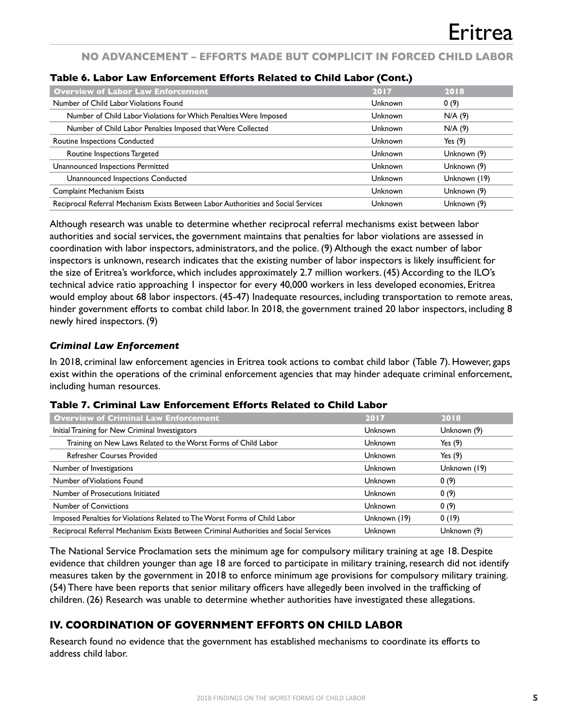## **NO ADVANCEMENT – EFFORTS MADE BUT COMPLICIT IN FORCED CHILD LABOR**

| <b>Overview of Labor Law Enforcement</b>                                           | 2017    | 2018         |
|------------------------------------------------------------------------------------|---------|--------------|
| Number of Child Labor Violations Found                                             | Unknown | 0(9)         |
| Number of Child Labor Violations for Which Penalties Were Imposed                  | Unknown | N/A(9)       |
| Number of Child Labor Penalties Imposed that Were Collected                        | Unknown | N/A(9)       |
| Routine Inspections Conducted                                                      | Unknown | Yes $(9)$    |
| Routine Inspections Targeted                                                       | Unknown | Unknown (9)  |
| Unannounced Inspections Permitted                                                  | Unknown | Unknown (9)  |
| Unannounced Inspections Conducted                                                  | Unknown | Unknown (19) |
| <b>Complaint Mechanism Exists</b>                                                  | Unknown | Unknown (9)  |
| Reciprocal Referral Mechanism Exists Between Labor Authorities and Social Services | Unknown | Unknown (9)  |

#### **Table 6. Labor Law Enforcement Efforts Related to Child Labor (Cont.)**

Although research was unable to determine whether reciprocal referral mechanisms exist between labor authorities and social services, the government maintains that penalties for labor violations are assessed in coordination with labor inspectors, administrators, and the police. (9) Although the exact number of labor inspectors is unknown, research indicates that the existing number of labor inspectors is likely insufficient for the size of Eritrea's workforce, which includes approximately 2.7 million workers. (45) According to the ILO's technical advice ratio approaching 1 inspector for every 40,000 workers in less developed economies, Eritrea would employ about 68 labor inspectors. (45-47) Inadequate resources, including transportation to remote areas, hinder government efforts to combat child labor. In 2018, the government trained 20 labor inspectors, including 8 newly hired inspectors. (9)

#### *Criminal Law Enforcement*

In 2018, criminal law enforcement agencies in Eritrea took actions to combat child labor (Table 7). However, gaps exist within the operations of the criminal enforcement agencies that may hinder adequate criminal enforcement, including human resources.

#### **Table 7. Criminal Law Enforcement Efforts Related to Child Labor**

| <b>Overview of Criminal Law Enforcement</b>                                           | 2017           | 2018         |
|---------------------------------------------------------------------------------------|----------------|--------------|
| Initial Training for New Criminal Investigators                                       | <b>Unknown</b> | Unknown (9)  |
| Training on New Laws Related to the Worst Forms of Child Labor                        | <b>Unknown</b> | Yes $(9)$    |
| <b>Refresher Courses Provided</b>                                                     | <b>Unknown</b> | Yes $(9)$    |
| Number of Investigations                                                              | Unknown        | Unknown (19) |
| Number of Violations Found                                                            | Unknown        | 0(9)         |
| Number of Prosecutions Initiated                                                      | <b>Unknown</b> | 0(9)         |
| <b>Number of Convictions</b>                                                          | Unknown        | 0(9)         |
| Imposed Penalties for Violations Related to The Worst Forms of Child Labor            | Unknown (19)   | 0(19)        |
| Reciprocal Referral Mechanism Exists Between Criminal Authorities and Social Services | Unknown        | Unknown (9)  |

The National Service Proclamation sets the minimum age for compulsory military training at age 18. Despite evidence that children younger than age 18 are forced to participate in military training, research did not identify measures taken by the government in 2018 to enforce minimum age provisions for compulsory military training. (54) There have been reports that senior military officers have allegedly been involved in the trafficking of children. (26) Research was unable to determine whether authorities have investigated these allegations.

## **IV. COORDINATION OF GOVERNMENT EFFORTS ON CHILD LABOR**

Research found no evidence that the government has established mechanisms to coordinate its efforts to address child labor.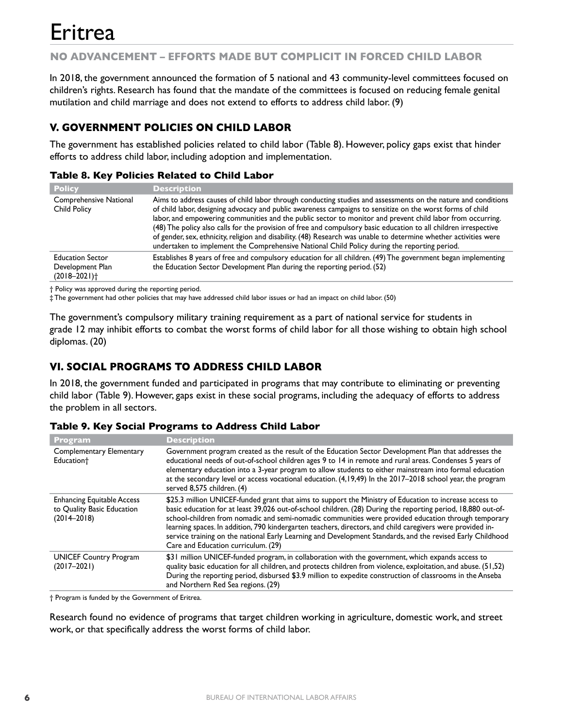## **NO ADVANCEMENT – EFFORTS MADE BUT COMPLICIT IN FORCED CHILD LABOR**

In 2018, the government announced the formation of 5 national and 43 community-level committees focused on children's rights. Research has found that the mandate of the committees is focused on reducing female genital mutilation and child marriage and does not extend to efforts to address child labor. (9)

## **V. GOVERNMENT POLICIES ON CHILD LABOR**

The government has established policies related to child labor (Table 8). However, policy gaps exist that hinder efforts to address child labor, including adoption and implementation.

### **Table 8. Key Policies Related to Child Labor**

| <b>Policy</b>                                                               | <b>Description</b>                                                                                                                                                                                                                                                                                                                                                                                                                                                                                                                                                                                                                                                                 |
|-----------------------------------------------------------------------------|------------------------------------------------------------------------------------------------------------------------------------------------------------------------------------------------------------------------------------------------------------------------------------------------------------------------------------------------------------------------------------------------------------------------------------------------------------------------------------------------------------------------------------------------------------------------------------------------------------------------------------------------------------------------------------|
| Comprehensive National<br><b>Child Policy</b>                               | Aims to address causes of child labor through conducting studies and assessments on the nature and conditions<br>of child labor, designing advocacy and public awareness campaigns to sensitize on the worst forms of child<br>labor, and empowering communities and the public sector to monitor and prevent child labor from occurring.<br>(48) The policy also calls for the provision of free and compulsory basic education to all children irrespective<br>of gender, sex, ethnicity, religion and disability. (48) Research was unable to determine whether activities were<br>undertaken to implement the Comprehensive National Child Policy during the reporting period. |
| <b>Education Sector</b><br>Development Plan<br>$(2018 - 2021)$ <sup>+</sup> | Establishes 8 years of free and compulsory education for all children. (49) The government began implementing<br>the Education Sector Development Plan during the reporting period. (52)                                                                                                                                                                                                                                                                                                                                                                                                                                                                                           |

† Policy was approved during the reporting period.

‡ The government had other policies that may have addressed child labor issues or had an impact on child labor. (50)

The government's compulsory military training requirement as a part of national service for students in grade 12 may inhibit efforts to combat the worst forms of child labor for all those wishing to obtain high school diplomas. (20)

## **VI. SOCIAL PROGRAMS TO ADDRESS CHILD LABOR**

In 2018, the government funded and participated in programs that may contribute to eliminating or preventing child labor (Table 9). However, gaps exist in these social programs, including the adequacy of efforts to address the problem in all sectors.

#### **Table 9. Key Social Programs to Address Child Labor**

| <b>Program</b>                                                                     | <b>Description</b>                                                                                                                                                                                                                                                                                                                                                                                                                                                                                                                                                                                |
|------------------------------------------------------------------------------------|---------------------------------------------------------------------------------------------------------------------------------------------------------------------------------------------------------------------------------------------------------------------------------------------------------------------------------------------------------------------------------------------------------------------------------------------------------------------------------------------------------------------------------------------------------------------------------------------------|
| Complementary Elementary<br>Education <sup>+</sup>                                 | Government program created as the result of the Education Sector Development Plan that addresses the<br>educational needs of out-of-school children ages 9 to 14 in remote and rural areas. Condenses 5 years of<br>elementary education into a 3-year program to allow students to either mainstream into formal education<br>at the secondary level or access vocational education. (4,19,49) In the 2017–2018 school year, the program<br>served 8,575 children. (4)                                                                                                                           |
| <b>Enhancing Equitable Access</b><br>to Quality Basic Education<br>$(2014 - 2018)$ | \$25.3 million UNICEF-funded grant that aims to support the Ministry of Education to increase access to<br>basic education for at least 39,026 out-of-school children. (28) During the reporting period, 18,880 out-of-<br>school-children from nomadic and semi-nomadic communities were provided education through temporary<br>learning spaces. In addition, 790 kindergarten teachers, directors, and child caregivers were provided in-<br>service training on the national Early Learning and Development Standards, and the revised Early Childhood<br>Care and Education curriculum. (29) |
| <b>UNICEF Country Program</b><br>$(2017 - 2021)$                                   | \$31 million UNICEF-funded program, in collaboration with the government, which expands access to<br>quality basic education for all children, and protects children from violence, exploitation, and abuse. (51,52)<br>During the reporting period, disbursed \$3.9 million to expedite construction of classrooms in the Anseba<br>and Northern Red Sea regions. (29)                                                                                                                                                                                                                           |

† Program is funded by the Government of Eritrea.

Research found no evidence of programs that target children working in agriculture, domestic work, and street work, or that specifically address the worst forms of child labor.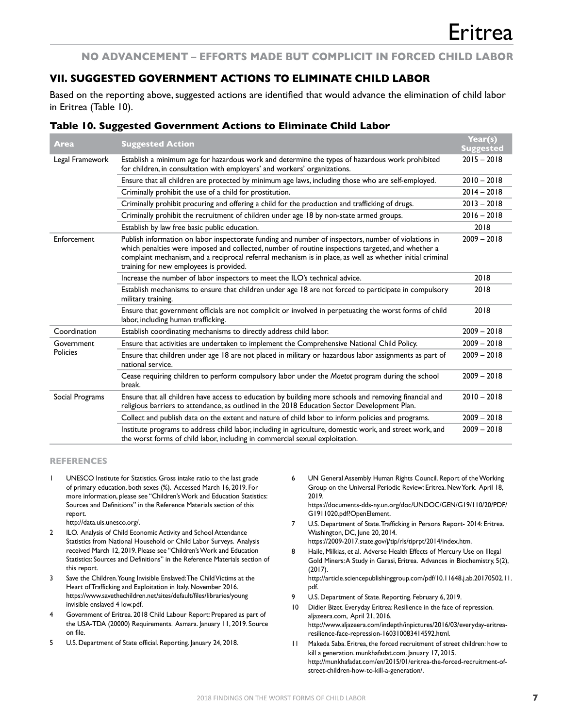#### **NO ADVANCEMENT – EFFORTS MADE BUT COMPLICIT IN FORCED CHILD LABOR**

## **VII. SUGGESTED GOVERNMENT ACTIONS TO ELIMINATE CHILD LABOR**

Based on the reporting above, suggested actions are identified that would advance the elimination of child labor in Eritrea (Table 10).

#### **Table 10. Suggested Government Actions to Eliminate Child Labor**

| <b>Area</b>     | <b>Suggested Action</b>                                                                                                                                                                                                                                                                                                                                          | Year(s)<br><b>Suggested</b> |
|-----------------|------------------------------------------------------------------------------------------------------------------------------------------------------------------------------------------------------------------------------------------------------------------------------------------------------------------------------------------------------------------|-----------------------------|
| Legal Framework | Establish a minimum age for hazardous work and determine the types of hazardous work prohibited<br>for children, in consultation with employers' and workers' organizations.                                                                                                                                                                                     | $2015 - 2018$               |
|                 | Ensure that all children are protected by minimum age laws, including those who are self-employed.                                                                                                                                                                                                                                                               | $2010 - 2018$               |
|                 | Criminally prohibit the use of a child for prostitution.                                                                                                                                                                                                                                                                                                         | $2014 - 2018$               |
|                 | Criminally prohibit procuring and offering a child for the production and trafficking of drugs.                                                                                                                                                                                                                                                                  | $2013 - 2018$               |
|                 | Criminally prohibit the recruitment of children under age 18 by non-state armed groups.                                                                                                                                                                                                                                                                          | $2016 - 2018$               |
|                 | Establish by law free basic public education.                                                                                                                                                                                                                                                                                                                    | 2018                        |
| Enforcement     | Publish information on labor inspectorate funding and number of inspectors, number of violations in<br>which penalties were imposed and collected, number of routine inspections targeted, and whether a<br>complaint mechanism, and a reciprocal referral mechanism is in place, as well as whether initial criminal<br>training for new employees is provided. | $2009 - 2018$               |
|                 | Increase the number of labor inspectors to meet the ILO's technical advice.                                                                                                                                                                                                                                                                                      | 2018                        |
|                 | Establish mechanisms to ensure that children under age 18 are not forced to participate in compulsory<br>military training.                                                                                                                                                                                                                                      | 2018                        |
|                 | Ensure that government officials are not complicit or involved in perpetuating the worst forms of child<br>labor, including human trafficking.                                                                                                                                                                                                                   | 2018                        |
| Coordination    | Establish coordinating mechanisms to directly address child labor.                                                                                                                                                                                                                                                                                               | $2009 - 2018$               |
| Government      | Ensure that activities are undertaken to implement the Comprehensive National Child Policy.                                                                                                                                                                                                                                                                      | $2009 - 2018$               |
| Policies        | Ensure that children under age 18 are not placed in military or hazardous labor assignments as part of<br>national service.                                                                                                                                                                                                                                      | $2009 - 2018$               |
|                 | Cease requiring children to perform compulsory labor under the Maetot program during the school<br>break.                                                                                                                                                                                                                                                        | $2009 - 2018$               |
| Social Programs | Ensure that all children have access to education by building more schools and removing financial and<br>religious barriers to attendance, as outlined in the 2018 Education Sector Development Plan.                                                                                                                                                            | $2010 - 2018$               |
|                 | Collect and publish data on the extent and nature of child labor to inform policies and programs.                                                                                                                                                                                                                                                                | $2009 - 2018$               |
|                 | Institute programs to address child labor, including in agriculture, domestic work, and street work, and<br>the worst forms of child labor, including in commercial sexual exploitation.                                                                                                                                                                         | $2009 - 2018$               |

#### **REFERENCES**

UNESCO Institute for Statistics. Gross intake ratio to the last grade of primary education, both sexes (%). Accessed March 16, 2019. For more information, please see "Children's Work and Education Statistics: Sources and Definitions" in the Reference Materials section of this report.

http://data.uis.unesco.org/.

- 2 ILO. Analysis of Child Economic Activity and School Attendance Statistics from National Household or Child Labor Surveys. Analysis received March 12, 2019. Please see "Children's Work and Education Statistics: Sources and Definitions" in the Reference Materials section of this report.
- 3 Save the Children. Young Invisible Enslaved: The Child Victims at the Heart of Trafficking and Exploitation in Italy. November 2016. https://www.savethechildren.net/sites/default/files/libraries/young invisible enslaved 4 low.pdf.
- 4 Government of Eritrea. 2018 Child Labour Report: Prepared as part of the USA-TDA (20000) Requirements. Asmara. January 11, 2019. Source on file.
- 5 U.S. Department of State official. Reporting. January 24, 2018.

6 UN General Assembly Human Rights Council. Report of the Working Group on the Universal Periodic Review: Eritrea. New York. April 18, 2019. https://documents-dds-ny.un.org/doc/UNDOC/GEN/G19/110/20/PDF/

G1911020.pdf?OpenElement.

7 U.S. Department of State. Trafficking in Persons Report- 2014: Eritrea. Washington, DC, June 20, 2014.

https://2009-2017.state.gov/j/tip/rls/tiprpt/2014/index.htm.

- 8 Haile, Milkias, et al. Adverse Health Effects of Mercury Use on Illegal Gold Miners: A Study in Garasi, Eritrea. Advances in Biochemistry, 5(2), (2017). http://article.sciencepublishinggroup.com/pdf/10.11648.j.ab.20170502.11.
- pdf. 9 U.S. Department of State. Reporting. February 6, 2019.
- 10 Didier Bizet. Everyday Eritrea: Resilience in the face of repression. aljazeera.com, April 21, 2016. http://www.aljazeera.com/indepth/inpictures/2016/03/everyday-eritrearesilience-face-repression-160310083414592.html.
- 11 Makeda Saba. Eritrea, the forced recruitment of street children: how to kill a generation. munkhafadat.com. January 17, 2015. http://munkhafadat.com/en/2015/01/eritrea-the-forced-recruitment-ofstreet-children-how-to-kill-a-generation/.